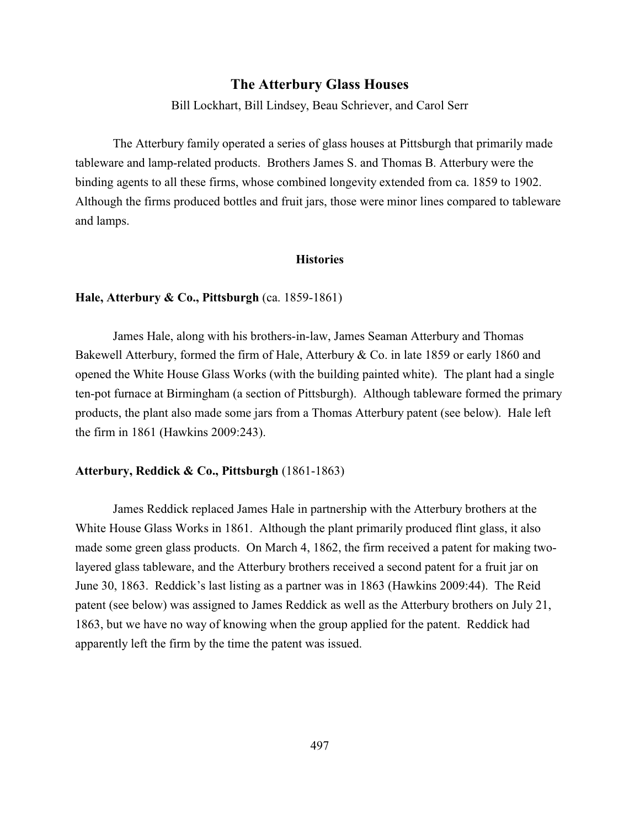### **The Atterbury Glass Houses**

Bill Lockhart, Bill Lindsey, Beau Schriever, and Carol Serr

The Atterbury family operated a series of glass houses at Pittsburgh that primarily made tableware and lamp-related products. Brothers James S. and Thomas B. Atterbury were the binding agents to all these firms, whose combined longevity extended from ca. 1859 to 1902. Although the firms produced bottles and fruit jars, those were minor lines compared to tableware and lamps.

#### **Histories**

#### **Hale, Atterbury & Co., Pittsburgh** (ca. 1859-1861)

James Hale, along with his brothers-in-law, James Seaman Atterbury and Thomas Bakewell Atterbury, formed the firm of Hale, Atterbury & Co. in late 1859 or early 1860 and opened the White House Glass Works (with the building painted white). The plant had a single ten-pot furnace at Birmingham (a section of Pittsburgh). Although tableware formed the primary products, the plant also made some jars from a Thomas Atterbury patent (see below). Hale left the firm in 1861 (Hawkins 2009:243).

### **Atterbury, Reddick & Co., Pittsburgh** (1861-1863)

James Reddick replaced James Hale in partnership with the Atterbury brothers at the White House Glass Works in 1861. Although the plant primarily produced flint glass, it also made some green glass products. On March 4, 1862, the firm received a patent for making twolayered glass tableware, and the Atterbury brothers received a second patent for a fruit jar on June 30, 1863. Reddick's last listing as a partner was in 1863 (Hawkins 2009:44). The Reid patent (see below) was assigned to James Reddick as well as the Atterbury brothers on July 21, 1863, but we have no way of knowing when the group applied for the patent. Reddick had apparently left the firm by the time the patent was issued.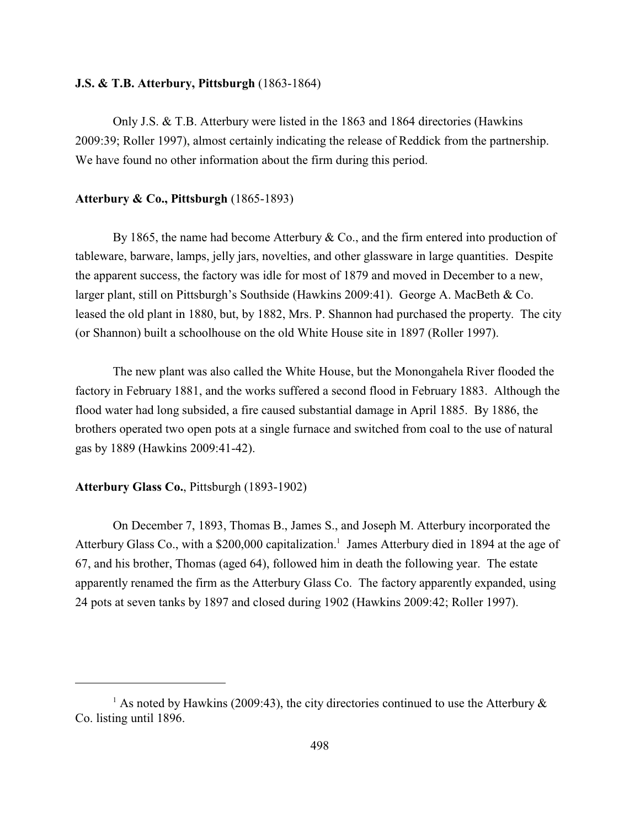### **J.S. & T.B. Atterbury, Pittsburgh** (1863-1864)

Only J.S. & T.B. Atterbury were listed in the 1863 and 1864 directories (Hawkins 2009:39; Roller 1997), almost certainly indicating the release of Reddick from the partnership. We have found no other information about the firm during this period.

#### **Atterbury & Co., Pittsburgh** (1865-1893)

By 1865, the name had become Atterbury  $& Co.,$  and the firm entered into production of tableware, barware, lamps, jelly jars, novelties, and other glassware in large quantities. Despite the apparent success, the factory was idle for most of 1879 and moved in December to a new, larger plant, still on Pittsburgh's Southside (Hawkins 2009:41). George A. MacBeth & Co. leased the old plant in 1880, but, by 1882, Mrs. P. Shannon had purchased the property. The city (or Shannon) built a schoolhouse on the old White House site in 1897 (Roller 1997).

The new plant was also called the White House, but the Monongahela River flooded the factory in February 1881, and the works suffered a second flood in February 1883. Although the flood water had long subsided, a fire caused substantial damage in April 1885. By 1886, the brothers operated two open pots at a single furnace and switched from coal to the use of natural gas by 1889 (Hawkins 2009:41-42).

### **Atterbury Glass Co.**, Pittsburgh (1893-1902)

On December 7, 1893, Thomas B., James S., and Joseph M. Atterbury incorporated the Atterbury Glass Co., with a \$200,000 capitalization.<sup>1</sup> James Atterbury died in 1894 at the age of 67, and his brother, Thomas (aged 64), followed him in death the following year. The estate apparently renamed the firm as the Atterbury Glass Co. The factory apparently expanded, using 24 pots at seven tanks by 1897 and closed during 1902 (Hawkins 2009:42; Roller 1997).

<sup>&</sup>lt;sup>1</sup> As noted by Hawkins (2009:43), the city directories continued to use the Atterbury  $\&$ Co. listing until 1896.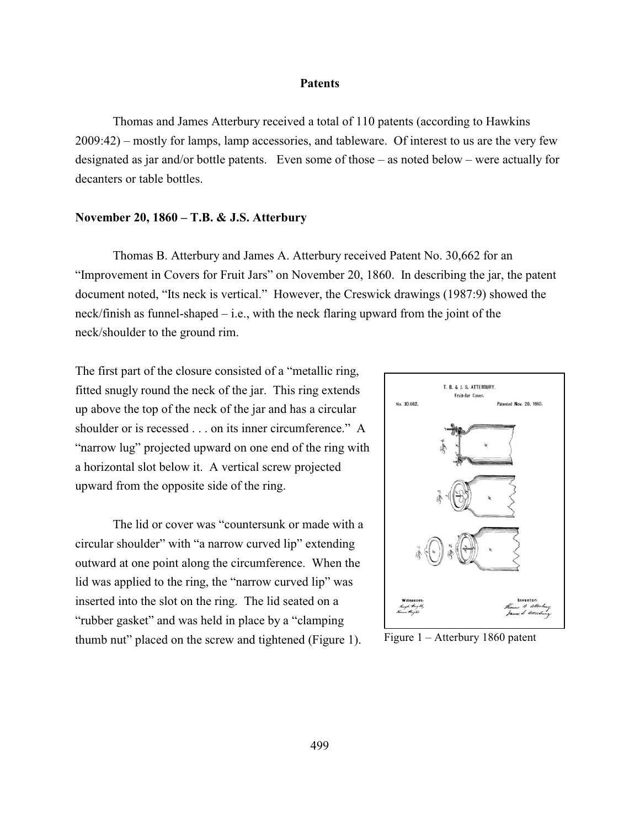#### **Patents**

Thomas and James Atterbury received a total of 110 patents (according to Hawkins 2009:42) – mostly for lamps, lamp accessories, and tableware. Of interest to us are the very few designated as jar and/or bottle patents. Even some of those – as noted below – were actually for decanters or table bottles.

#### **November 20, 1860 – T.B. & J.S. Atterbury**

Thomas B. Atterbury and James A. Atterbury received Patent No. 30,662 for an "Improvement in Covers for Fruit Jars" on November 20, 1860. In describing the jar, the patent document noted, "Its neck is vertical." However, the Creswick drawings (1987:9) showed the neck/finish as funnel-shaped – i.e., with the neck flaring upward from the joint of the neck/shoulder to the ground rim.

The first part of the closure consisted of a "metallic ring, fitted snugly round the neck of the jar. This ring extends up above the top of the neck of the jar and has a circular shoulder or is recessed . . . on its inner circumference." A "narrow lug" projected upward on one end of the ring with a horizontal slot below it. A vertical screw projected upward from the opposite side of the ring.

The lid or cover was "countersunk or made with a circular shoulder" with "a narrow curved lip" extending outward at one point along the circumference. When the lid was applied to the ring, the "narrow curved lip" was inserted into the slot on the ring. The lid seated on a "rubber gasket" and was held in place by a "clamping thumb nut" placed on the screw and tightened (Figure 1). Figure  $1 -$ Atterbury 1860 patent

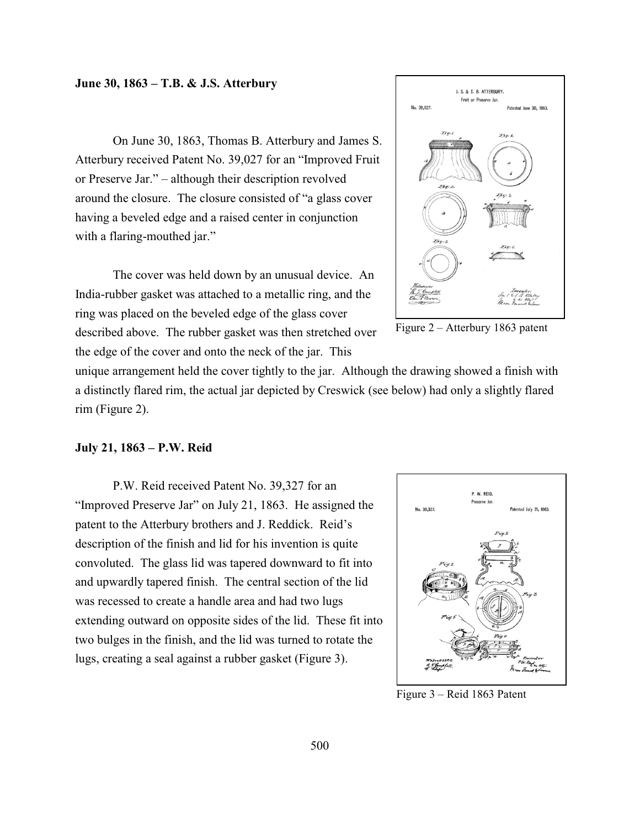#### **June 30, 1863 – T.B. & J.S. Atterbury**

On June 30, 1863, Thomas B. Atterbury and James S. Atterbury received Patent No. 39,027 for an "Improved Fruit or Preserve Jar." – although their description revolved around the closure. The closure consisted of "a glass cover having a beveled edge and a raised center in conjunction with a flaring-mouthed jar."

The cover was held down by an unusual device. An India-rubber gasket was attached to a metallic ring, and the ring was placed on the beveled edge of the glass cover described above. The rubber gasket was then stretched over the edge of the cover and onto the neck of the jar. This





unique arrangement held the cover tightly to the jar. Although the drawing showed a finish with a distinctly flared rim, the actual jar depicted by Creswick (see below) had only a slightly flared rim (Figure 2).

### **July 21, 1863 – P.W. Reid**

P.W. Reid received Patent No. 39,327 for an "Improved Preserve Jar" on July 21, 1863. He assigned the patent to the Atterbury brothers and J. Reddick. Reid's description of the finish and lid for his invention is quite convoluted. The glass lid was tapered downward to fit into and upwardly tapered finish. The central section of the lid was recessed to create a handle area and had two lugs extending outward on opposite sides of the lid. These fit into two bulges in the finish, and the lid was turned to rotate the lugs, creating a seal against a rubber gasket (Figure 3).



Figure 3 – Reid 1863 Patent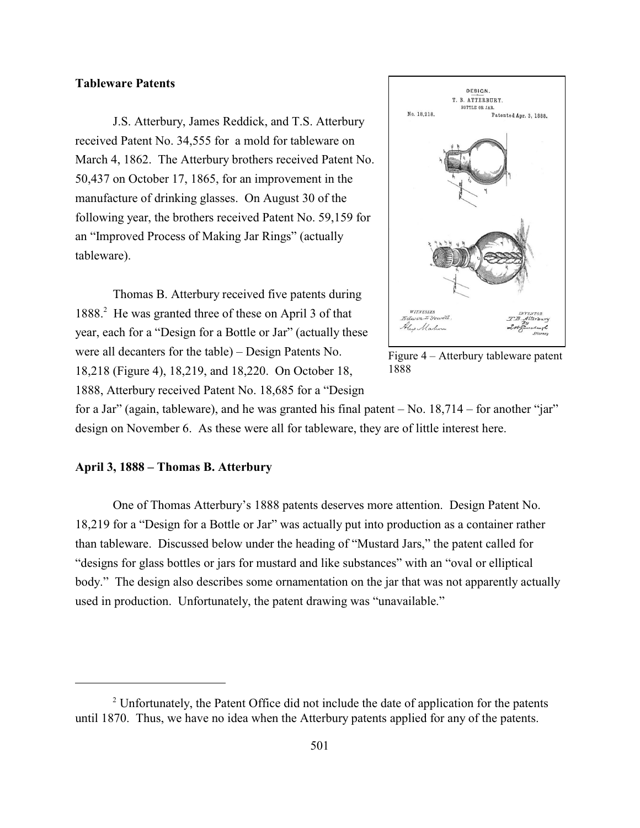### **Tableware Patents**

J.S. Atterbury, James Reddick, and T.S. Atterbury received Patent No. 34,555 for a mold for tableware on March 4, 1862. The Atterbury brothers received Patent No. 50,437 on October 17, 1865, for an improvement in the manufacture of drinking glasses. On August 30 of the following year, the brothers received Patent No. 59,159 for an "Improved Process of Making Jar Rings" (actually tableware).

Thomas B. Atterbury received five patents during 1888.<sup>2</sup> He was granted three of these on April 3 of that year, each for a "Design for a Bottle or Jar" (actually these were all decanters for the table) – Design Patents No. 18,218 (Figure 4), 18,219, and 18,220. On October 18, 1888, Atterbury received Patent No. 18,685 for a "Design



Figure 4 – Atterbury tableware patent 1888

for a Jar" (again, tableware), and he was granted his final patent  $-$  No.  $18,714$  – for another "jar" design on November 6. As these were all for tableware, they are of little interest here.

### **April 3, 1888 – Thomas B. Atterbury**

One of Thomas Atterbury's 1888 patents deserves more attention. Design Patent No. 18,219 for a "Design for a Bottle or Jar" was actually put into production as a container rather than tableware. Discussed below under the heading of "Mustard Jars," the patent called for "designs for glass bottles or jars for mustard and like substances" with an "oval or elliptical body." The design also describes some ornamentation on the jar that was not apparently actually used in production. Unfortunately, the patent drawing was "unavailable."

 $2^{\circ}$  Unfortunately, the Patent Office did not include the date of application for the patents until 1870. Thus, we have no idea when the Atterbury patents applied for any of the patents.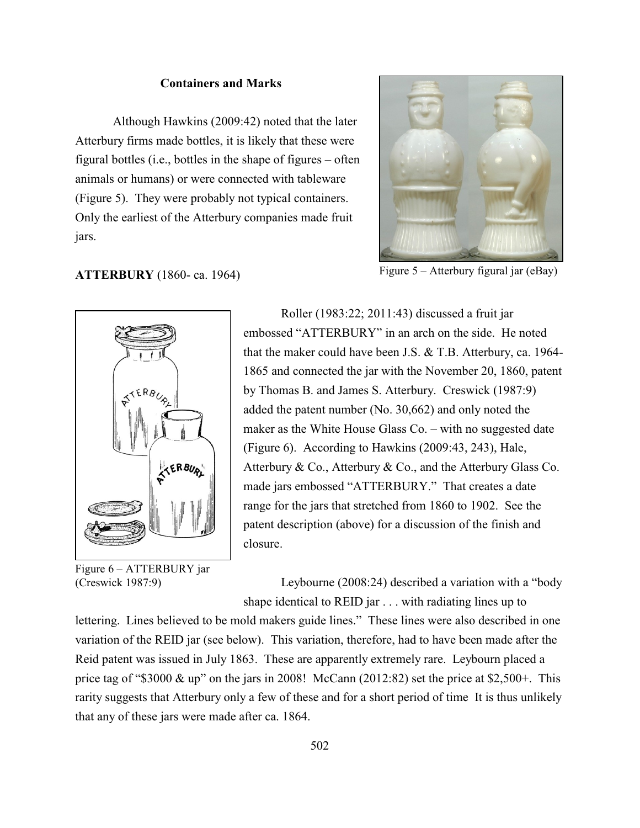### **Containers and Marks**

Although Hawkins (2009:42) noted that the later Atterbury firms made bottles, it is likely that these were figural bottles (i.e., bottles in the shape of figures – often animals or humans) or were connected with tableware (Figure 5). They were probably not typical containers. Only the earliest of the Atterbury companies made fruit jars.



Figure 5 – Atterbury figural jar (eBay)

### **ATTERBURY** (1860- ca. 1964)



Figure 6 – ATTERBURY jar (Creswick 1987:9)

Roller (1983:22; 2011:43) discussed a fruit jar embossed "ATTERBURY" in an arch on the side. He noted that the maker could have been J.S. & T.B. Atterbury, ca. 1964- 1865 and connected the jar with the November 20, 1860, patent by Thomas B. and James S. Atterbury. Creswick (1987:9) added the patent number (No. 30,662) and only noted the maker as the White House Glass Co. – with no suggested date (Figure 6). According to Hawkins (2009:43, 243), Hale, Atterbury & Co., Atterbury & Co., and the Atterbury Glass Co. made jars embossed "ATTERBURY." That creates a date range for the jars that stretched from 1860 to 1902. See the patent description (above) for a discussion of the finish and closure.

Leybourne (2008:24) described a variation with a "body shape identical to REID jar . . . with radiating lines up to

lettering. Lines believed to be mold makers guide lines." These lines were also described in one variation of the REID jar (see below). This variation, therefore, had to have been made after the Reid patent was issued in July 1863. These are apparently extremely rare. Leybourn placed a price tag of "\$3000  $\&$  up" on the jars in 2008! McCann (2012:82) set the price at \$2,500+. This rarity suggests that Atterbury only a few of these and for a short period of time It is thus unlikely that any of these jars were made after ca. 1864.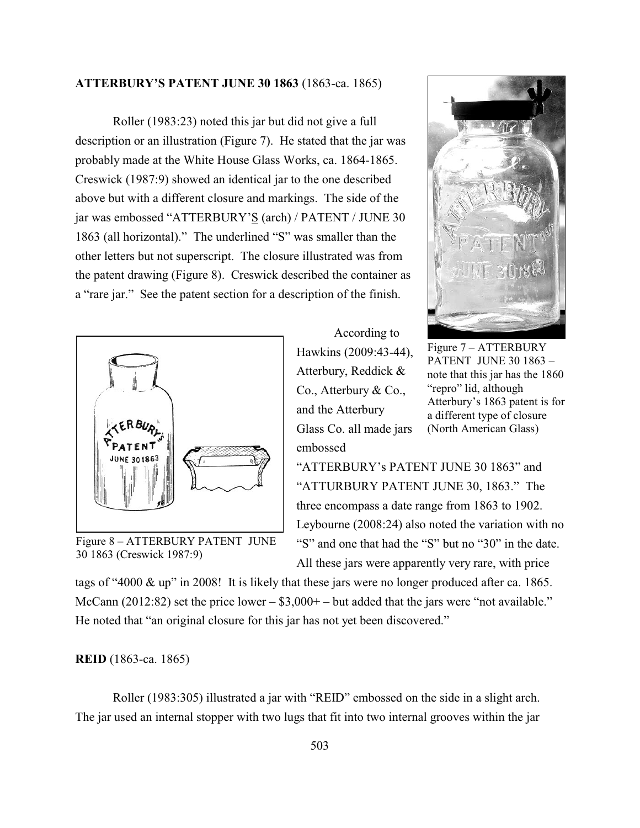### **ATTERBURY'S PATENT JUNE 30 1863** (1863-ca. 1865)

Roller (1983:23) noted this jar but did not give a full description or an illustration (Figure 7). He stated that the jar was probably made at the White House Glass Works, ca. 1864-1865. Creswick (1987:9) showed an identical jar to the one described above but with a different closure and markings. The side of the jar was embossed "ATTERBURY'S (arch) / PATENT / JUNE 30 1863 (all horizontal)." The underlined "S" was smaller than the other letters but not superscript. The closure illustrated was from the patent drawing (Figure 8). Creswick described the container as a "rare jar." See the patent section for a description of the finish.



Figure 8 – ATTERBURY PATENT JUNE 30 1863 (Creswick 1987:9)





Figure 7 – ATTERBURY PATENT JUNE 30 1863 – note that this jar has the 1860 "repro" lid, although Atterbury's 1863 patent is for a different type of closure (North American Glass)

"ATTERBURY's PATENT JUNE 30 1863" and "ATTURBURY PATENT JUNE 30, 1863." The three encompass a date range from 1863 to 1902. Leybourne (2008:24) also noted the variation with no "S" and one that had the "S" but no "30" in the date. All these jars were apparently very rare, with price

tags of "4000 & up" in 2008! It is likely that these jars were no longer produced after ca. 1865. McCann (2012:82) set the price lower  $-$  \$3,000+  $-$  but added that the jars were "not available." He noted that "an original closure for this jar has not yet been discovered."

#### **REID** (1863-ca. 1865)

Roller (1983:305) illustrated a jar with "REID" embossed on the side in a slight arch. The jar used an internal stopper with two lugs that fit into two internal grooves within the jar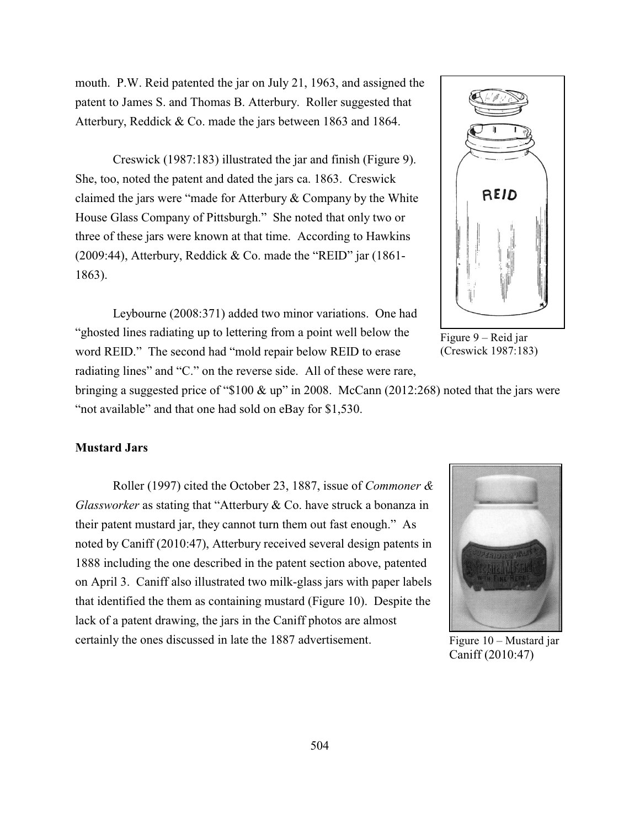mouth. P.W. Reid patented the jar on July 21, 1963, and assigned the patent to James S. and Thomas B. Atterbury. Roller suggested that Atterbury, Reddick & Co. made the jars between 1863 and 1864.

Creswick (1987:183) illustrated the jar and finish (Figure 9). She, too, noted the patent and dated the jars ca. 1863. Creswick claimed the jars were "made for Atterbury & Company by the White House Glass Company of Pittsburgh." She noted that only two or three of these jars were known at that time. According to Hawkins (2009:44), Atterbury, Reddick & Co. made the "REID" jar  $(1861 -$ 1863).

Leybourne (2008:371) added two minor variations. One had "ghosted lines radiating up to lettering from a point well below the word REID." The second had "mold repair below REID to erase radiating lines" and "C." on the reverse side. All of these were rare,

Figure 9 – Reid jar (Creswick 1987:183)

bringing a suggested price of "\$100 & up" in 2008. McCann (2012:268) noted that the jars were "not available" and that one had sold on eBay for \$1,530.

### **Mustard Jars**

Roller (1997) cited the October 23, 1887, issue of *Commoner & Glassworker* as stating that "Atterbury & Co. have struck a bonanza in their patent mustard jar, they cannot turn them out fast enough." As noted by Caniff (2010:47), Atterbury received several design patents in 1888 including the one described in the patent section above, patented on April 3. Caniff also illustrated two milk-glass jars with paper labels that identified the them as containing mustard (Figure 10). Despite the lack of a patent drawing, the jars in the Caniff photos are almost certainly the ones discussed in late the 1887 advertisement.



Figure 10 – Mustard jar Caniff (2010:47)

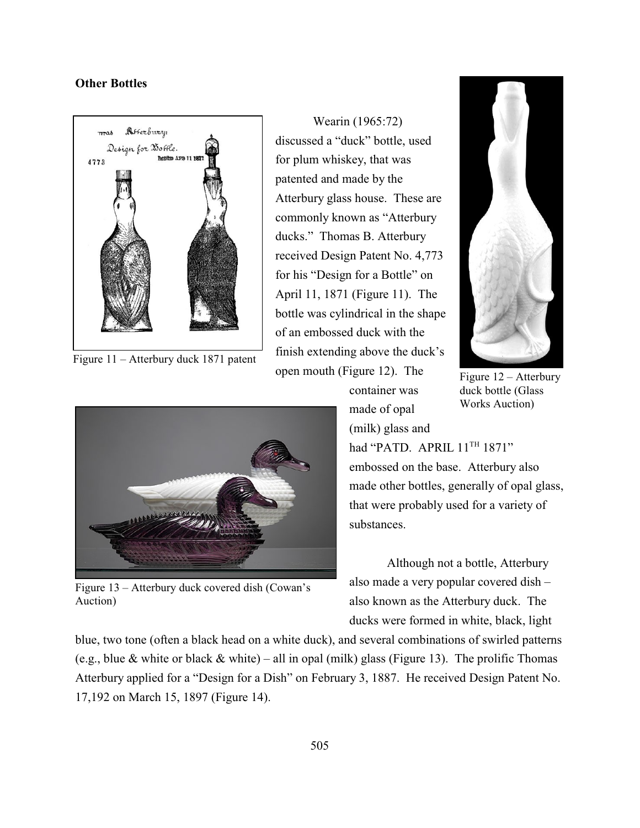### **Other Bottles**



Figure 11 – Atterbury duck 1871 patent

Wearin (1965:72) discussed a "duck" bottle, used for plum whiskey, that was patented and made by the Atterbury glass house. These are commonly known as "Atterbury ducks." Thomas B. Atterbury received Design Patent No. 4,773 for his "Design for a Bottle" on April 11, 1871 (Figure 11). The bottle was cylindrical in the shape of an embossed duck with the finish extending above the duck's open mouth (Figure 12). The



Figure 13 – Atterbury duck covered dish (Cowan's Auction)



Figure 12 – Atterbury duck bottle (Glass Works Auction)

container was made of opal (milk) glass and

had "PATD. APRIL  $11<sup>TH</sup> 1871"$ embossed on the base. Atterbury also made other bottles, generally of opal glass, that were probably used for a variety of substances.

Although not a bottle, Atterbury also made a very popular covered dish – also known as the Atterbury duck. The ducks were formed in white, black, light

blue, two tone (often a black head on a white duck), and several combinations of swirled patterns (e.g., blue & white or black & white) – all in opal (milk) glass (Figure 13). The prolific Thomas Atterbury applied for a "Design for a Dish" on February 3, 1887. He received Design Patent No. 17,192 on March 15, 1897 (Figure 14).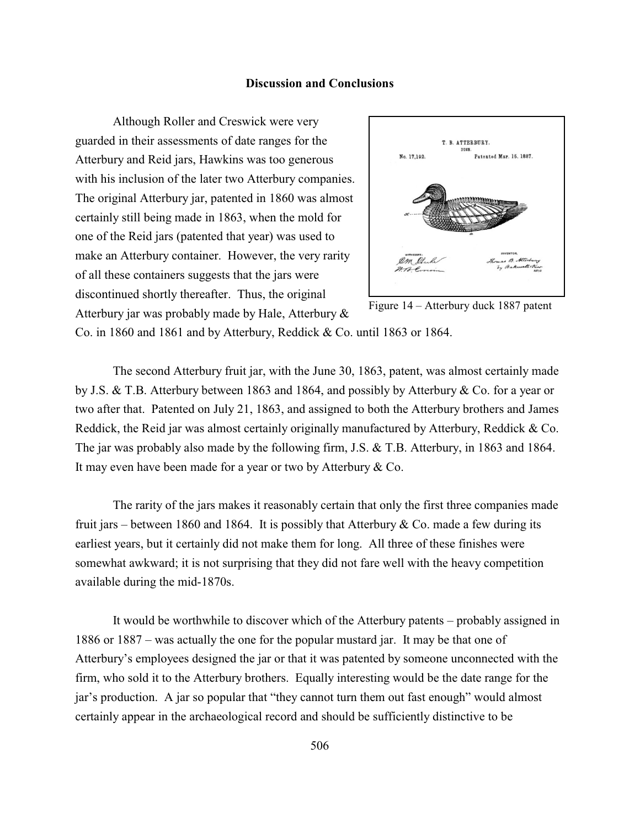#### **Discussion and Conclusions**

Although Roller and Creswick were very guarded in their assessments of date ranges for the Atterbury and Reid jars, Hawkins was too generous with his inclusion of the later two Atterbury companies. The original Atterbury jar, patented in 1860 was almost certainly still being made in 1863, when the mold for one of the Reid jars (patented that year) was used to make an Atterbury container. However, the very rarity of all these containers suggests that the jars were discontinued shortly thereafter. Thus, the original Atterbury jar was probably made by Hale, Atterbury &



Figure 14 – Atterbury duck 1887 patent

Co. in 1860 and 1861 and by Atterbury, Reddick & Co. until 1863 or 1864.

The second Atterbury fruit jar, with the June 30, 1863, patent, was almost certainly made by J.S. & T.B. Atterbury between 1863 and 1864, and possibly by Atterbury & Co. for a year or two after that. Patented on July 21, 1863, and assigned to both the Atterbury brothers and James Reddick, the Reid jar was almost certainly originally manufactured by Atterbury, Reddick & Co. The jar was probably also made by the following firm, J.S. & T.B. Atterbury, in 1863 and 1864. It may even have been made for a year or two by Atterbury & Co.

The rarity of the jars makes it reasonably certain that only the first three companies made fruit jars – between 1860 and 1864. It is possibly that Atterbury  $& Co.$  made a few during its earliest years, but it certainly did not make them for long. All three of these finishes were somewhat awkward; it is not surprising that they did not fare well with the heavy competition available during the mid-1870s.

It would be worthwhile to discover which of the Atterbury patents – probably assigned in 1886 or 1887 – was actually the one for the popular mustard jar. It may be that one of Atterbury's employees designed the jar or that it was patented by someone unconnected with the firm, who sold it to the Atterbury brothers. Equally interesting would be the date range for the jar's production. A jar so popular that "they cannot turn them out fast enough" would almost certainly appear in the archaeological record and should be sufficiently distinctive to be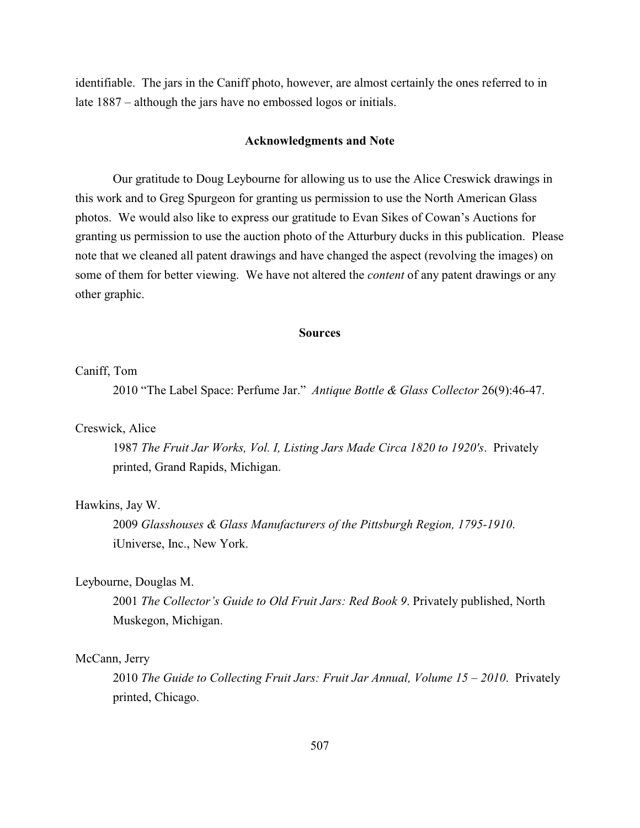identifiable. The jars in the Caniff photo, however, are almost certainly the ones referred to in late 1887 – although the jars have no embossed logos or initials.

#### **Acknowledgments and Note**

Our gratitude to Doug Leybourne for allowing us to use the Alice Creswick drawings in this work and to Greg Spurgeon for granting us permission to use the North American Glass photos. We would also like to express our gratitude to Evan Sikes of Cowan's Auctions for granting us permission to use the auction photo of the Atturbury ducks in this publication. Please note that we cleaned all patent drawings and have changed the aspect (revolving the images) on some of them for better viewing. We have not altered the *content* of any patent drawings or any other graphic.

#### **Sources**

### Caniff, Tom

2010 "The Label Space: Perfume Jar." *Antique Bottle & Glass Collector* 26(9):46-47.

#### Creswick, Alice

1987 *The Fruit Jar Works, Vol. I, Listing Jars Made Circa 1820 to 1920's*. Privately printed, Grand Rapids, Michigan.

### Hawkins, Jay W.

2009 *Glasshouses & Glass Manufacturers of the Pittsburgh Region, 1795-1910*. iUniverse, Inc., New York.

### Leybourne, Douglas M.

2001 *The Collector's Guide to Old Fruit Jars: Red Book 9*. Privately published, North Muskegon, Michigan.

#### McCann, Jerry

2010 *The Guide to Collecting Fruit Jars: Fruit Jar Annual, Volume 15 – 2010*. Privately printed, Chicago.